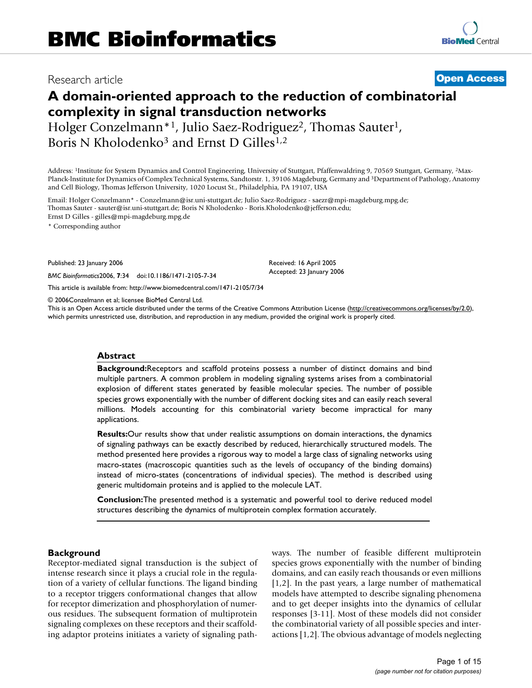# Research article **[Open Access](http://www.biomedcentral.com/info/about/charter/)**

# **A domain-oriented approach to the reduction of combinatorial complexity in signal transduction networks**

Holger Conzelmann<sup>\*1</sup>, Julio Saez-Rodriguez<sup>2</sup>, Thomas Sauter<sup>1</sup>, Boris N Kholodenko<sup>3</sup> and Ernst D Gilles<sup>1,2</sup>

Address: 1Institute for System Dynamics and Control Engineering, University of Stuttgart, Pfaffenwaldring 9, 70569 Stuttgart, Germany, 2Max-Planck-lnstitute for Dynamics of Complex Technical Systems, Sandtorstr. 1, 39106 Magdeburg, Germany and 3Department of Pathology, Anatomy and Cell Biology, Thomas Jefferson University, 1020 Locust St., Philadelphia, PA 19107, USA

Email: Holger Conzelmann\* - Conzelmann@isr.uni-stuttgart.de; Julio Saez-Rodriguez - saezr@mpi-magdeburg.mpg.de; Thomas Sauter - sauter@isr.uni-stuttgart.de; Boris N Kholodenko - Boris.Kholodenko@jefferson.edu; Ernst D Gilles - gilles@mpi-magdeburg.mpg.de

\* Corresponding author

Published: 23 January 2006

*BMC Bioinformatics*2006, **7**:34 doi:10.1186/1471-2105-7-34

[This article is available from: http://www.biomedcentral.com/1471-2105/7/34](http://www.biomedcentral.com/1471-2105/7/34)

© 2006Conzelmann et al; licensee BioMed Central Ltd.

This is an Open Access article distributed under the terms of the Creative Commons Attribution License [\(http://creativecommons.org/licenses/by/2.0\)](http://creativecommons.org/licenses/by/2.0), which permits unrestricted use, distribution, and reproduction in any medium, provided the original work is properly cited.

Received: 16 April 2005 Accepted: 23 January 2006

# **Abstract**

**Background:**Receptors and scaffold proteins possess a number of distinct domains and bind multiple partners. A common problem in modeling signaling systems arises from a combinatorial explosion of different states generated by feasible molecular species. The number of possible species grows exponentially with the number of different docking sites and can easily reach several millions. Models accounting for this combinatorial variety become impractical for many applications.

**Results:**Our results show that under realistic assumptions on domain interactions, the dynamics of signaling pathways can be exactly described by reduced, hierarchically structured models. The method presented here provides a rigorous way to model a large class of signaling networks using macro-states (macroscopic quantities such as the levels of occupancy of the binding domains) instead of micro-states (concentrations of individual species). The method is described using generic multidomain proteins and is applied to the molecule LAT.

**Conclusion:**The presented method is a systematic and powerful tool to derive reduced model structures describing the dynamics of multiprotein complex formation accurately.

# **Background**

Receptor-mediated signal transduction is the subject of intense research since it plays a crucial role in the regulation of a variety of cellular functions. The ligand binding to a receptor triggers conformational changes that allow for receptor dimerization and phosphorylation of numerous residues. The subsequent formation of multiprotein signaling complexes on these receptors and their scaffolding adaptor proteins initiates a variety of signaling pathways. The number of feasible different multiprotein species grows exponentially with the number of binding domains, and can easily reach thousands or even millions [1,2]. In the past years, a large number of mathematical models have attempted to describe signaling phenomena and to get deeper insights into the dynamics of cellular responses [3-11]. Most of these models did not consider the combinatorial variety of all possible species and interactions [1,2]. The obvious advantage of models neglecting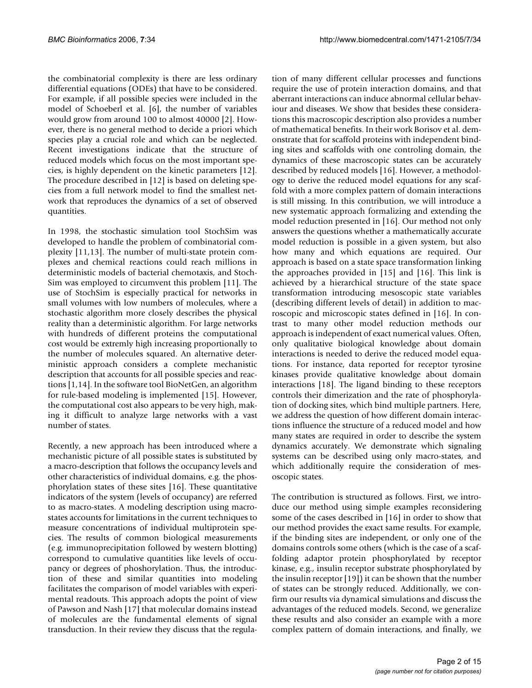the combinatorial complexity is there are less ordinary differential equations (ODEs) that have to be considered. For example, if all possible species were included in the model of Schoeberl et al. [6], the number of variables would grow from around 100 to almost 40000 [2]. However, there is no general method to decide a priori which species play a crucial role and which can be neglected. Recent investigations indicate that the structure of reduced models which focus on the most important species, is highly dependent on the kinetic parameters [12]. The procedure described in [12] is based on deleting species from a full network model to find the smallest network that reproduces the dynamics of a set of observed quantities.

In 1998, the stochastic simulation tool StochSim was developed to handle the problem of combinatorial complexity [11,13]. The number of multi-state protein complexes and chemical reactions could reach millions in deterministic models of bacterial chemotaxis, and Stoch-Sim was employed to circumvent this problem [11]. The use of StochSim is especially practical for networks in small volumes with low numbers of molecules, where a stochastic algorithm more closely describes the physical reality than a deterministic algorithm. For large networks with hundreds of different proteins the computational cost would be extremly high increasing proportionally to the number of molecules squared. An alternative deterministic approach considers a complete mechanistic description that accounts for all possible species and reactions [1,14]. In the software tool BioNetGen, an algorithm for rule-based modeling is implemented [15]. However, the computational cost also appears to be very high, making it difficult to analyze large networks with a vast number of states.

Recently, a new approach has been introduced where a mechanistic picture of all possible states is substituted by a macro-description that follows the occupancy levels and other characteristics of individual domains, e.g. the phosphorylation states of these sites [16]. These quantitative indicators of the system (levels of occupancy) are referred to as macro-states. A modeling description using macrostates accounts for limitations in the current techniques to measure concentrations of individual multiprotein species. The results of common biological measurements (e.g. immunoprecipitation followed by western blotting) correspond to cumulative quantities like levels of occupancy or degrees of phoshorylation. Thus, the introduction of these and similar quantities into modeling facilitates the comparison of model variables with experimental readouts. This approach adopts the point of view of Pawson and Nash [17] that molecular domains instead of molecules are the fundamental elements of signal transduction. In their review they discuss that the regulation of many different cellular processes and functions require the use of protein interaction domains, and that aberrant interactions can induce abnormal cellular behaviour and diseases. We show that besides these considerations this macroscopic description also provides a number of mathematical benefits. In their work Borisov et al. demonstrate that for scaffold proteins with independent binding sites and scaffolds with one controling domain, the dynamics of these macroscopic states can be accurately described by reduced models [16]. However, a methodology to derive the reduced model equations for any scaffold with a more complex pattern of domain interactions is still missing. In this contribution, we will introduce a new systematic approach formalizing and extending the model reduction presented in [16]. Our method not only answers the questions whether a mathematically accurate model reduction is possible in a given system, but also how many and which equations are required. Our approach is based on a state space transformation linking the approaches provided in [15] and [16]. This link is achieved by a hierarchical structure of the state space transformation introducing mesoscopic state variables (describing different levels of detail) in addition to macroscopic and microscopic states defined in [16]. In contrast to many other model reduction methods our approach is independent of exact numerical values. Often, only qualitative biological knowledge about domain interactions is needed to derive the reduced model equations. For instance, data reported for receptor tyrosine kinases provide qualitative knowledge about domain interactions [18]. The ligand binding to these receptors controls their dimerization and the rate of phosphorylation of docking sites, which bind multiple partners. Here, we address the question of how different domain interactions influence the structure of a reduced model and how many states are required in order to describe the system dynamics accurately. We demonstrate which signaling systems can be described using only macro-states, and which additionally require the consideration of mesoscopic states.

The contribution is structured as follows. First, we introduce our method using simple examples reconsidering some of the cases described in [16] in order to show that our method provides the exact same results. For example, if the binding sites are independent, or only one of the domains controls some others (which is the case of a scaffolding adaptor protein phosphorylated by receptor kinase, e.g., insulin receptor substrate phosphorylated by the insulin receptor [19]) it can be shown that the number of states can be strongly reduced. Additionally, we confirm our results via dynamical simulations and discuss the advantages of the reduced models. Second, we generalize these results and also consider an example with a more complex pattern of domain interactions, and finally, we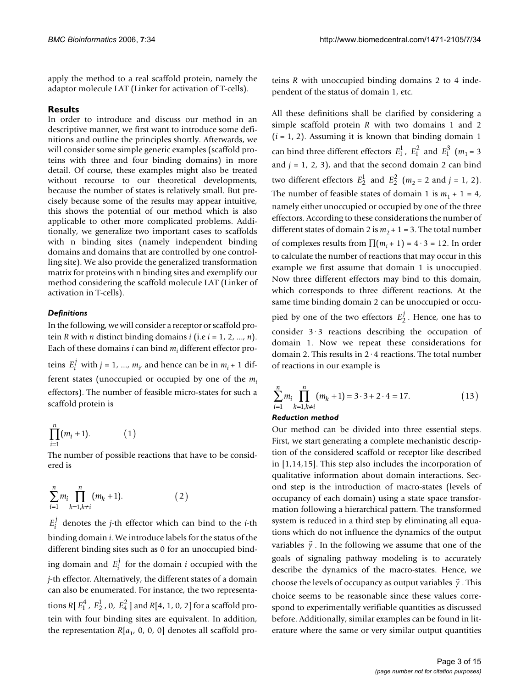apply the method to a real scaffold protein, namely the adaptor molecule LAT (Linker for activation of T-cells).

# **Results**

In order to introduce and discuss our method in an descriptive manner, we first want to introduce some definitions and outline the principles shortly. Afterwards, we will consider some simple generic examples (scaffold proteins with three and four binding domains) in more detail. Of course, these examples might also be treated without recourse to our theoretical developments, because the number of states is relatively small. But precisely because some of the results may appear intuitive, this shows the potential of our method which is also applicable to other more complicated problems. Additionally, we generalize two important cases to scaffolds with n binding sites (namely independent binding domains and domains that are controlled by one controlling site). We also provide the generalized transformation matrix for proteins with n binding sites and exemplify our method considering the scaffold molecule LAT (Linker of activation in T-cells).

# *Definitions*

In the following, we will consider a receptor or scaffold protein *R* with *n* distinct binding domains *i* (i.e  $i = 1, 2, ..., n$ ). Each of these domains *i* can bind *mi* different effector proteins  $E_i^j$  with  $j = 1, ..., m_i$  and hence can be in  $m_i + 1$  different states (unoccupied or occupied by one of the *mi* effectors). The number of feasible micro-states for such a

$$
\prod_{i=1}^{n}(m_i+1). \hspace{1cm} (1)
$$

scaffold protein is

The number of possible reactions that have to be considered is

$$
\sum_{i=1}^n m_i \prod_{k=1, k\neq i}^n (m_k+1). \hspace{1.5cm} (2)
$$

 $E_i^j$  denotes the *j*-th effector which can bind to the *i*-th binding domain *i*. We introduce labels for the status of the different binding sites such as 0 for an unoccupied binding domain and  $E_i^j$  for the domain *i* occupied with the *j*-th effector. Alternatively, the different states of a domain can also be enumerated. For instance, the two representations *R*[ $E_1^4$ ,  $E_2^1$ , 0,  $E_4^2$ ] and *R*[4, 1, 0, 2] for a scaffold protein with four binding sites are equivalent. In addition, the representation  $R[a_1, 0, 0, 0]$  denotes all scaffold proteins *R* with unoccupied binding domains 2 to 4 independent of the status of domain 1, etc.

All these definitions shall be clarified by considering a simple scaffold protein *R* with two domains 1 and 2  $(i = 1, 2)$ . Assuming it is known that binding domain 1 can bind three different effectors  $E_1^1$ ,  $E_1^2$  and  $E_1^3$  ( $m_1 = 3$ ) and  $j = 1, 2, 3$ , and that the second domain 2 can bind two different effectors  $E_2^1$  and  $E_2^2$  ( $m_2$  = 2 and  $j$  = 1, 2). The number of feasible states of domain 1 is  $m_1 + 1 = 4$ , namely either unoccupied or occupied by one of the three effectors. According to these considerations the number of different states of domain 2 is  $m_2 + 1 = 3$ . The total number of complexes results from  $\prod (m_i + 1) = 4 \cdot 3 = 12$ . In order to calculate the number of reactions that may occur in this example we first assume that domain 1 is unoccupied. Now three different effectors may bind to this domain, which corresponds to three different reactions. At the same time binding domain 2 can be unoccupied or occupied by one of the two effectors  $E_2^j$ . Hence, one has to

consider 3·3 reactions describing the occupation of domain 1. Now we repeat these considerations for domain 2. This results in 2·4 reactions. The total number of reactions in our example is

$$
\sum_{i=1}^{n} m_i \prod_{k=1, k \neq i}^{n} (m_k + 1) = 3 \cdot 3 + 2 \cdot 4 = 17. \tag{13}
$$

# *Reduction method*

Our method can be divided into three essential steps. First, we start generating a complete mechanistic description of the considered scaffold or receptor like described in [1,14,15]. This step also includes the incorporation of qualitative information about domain interactions. Second step is the introduction of macro-states (levels of occupancy of each domain) using a state space transformation following a hierarchical pattern. The transformed system is reduced in a third step by eliminating all equations which do not influence the dynamics of the output variables  $\vec{y}$ . In the following we assume that one of the goals of signaling pathway modeling is to accurately describe the dynamics of the macro-states. Hence, we choose the levels of occupancy as output variables  $\vec{y}$ . This choice seems to be reasonable since these values correspond to experimentally verifiable quantities as discussed before. Additionally, similar examples can be found in literature where the same or very similar output quantities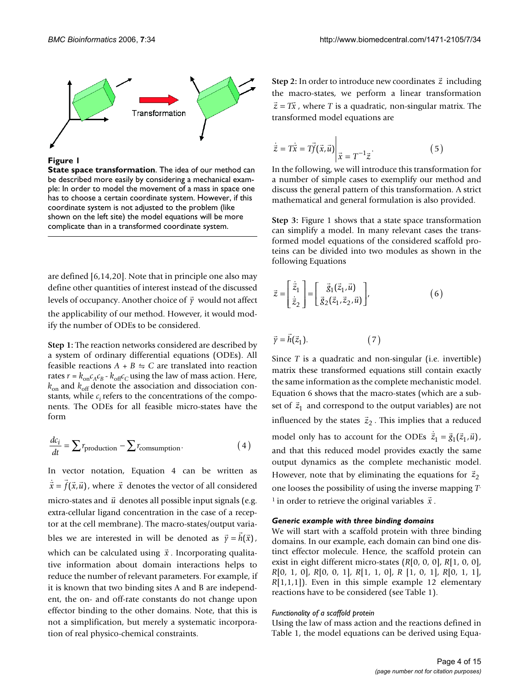

**Figure 1** 

**State space transformation**. The idea of our method can be described more easily by considering a mechanical example: In order to model the movement of a mass in space one has to choose a certain coordinate system. However, if this coordinate system is not adjusted to the problem (like shown on the left site) the model equations will be more complicate than in a transformed coordinate system.

are defined [6,14,20]. Note that in principle one also may define other quantities of interest instead of the discussed levels of occupancy. Another choice of  $\vec{y}$  would not affect the applicability of our method. However, it would modify the number of ODEs to be considered.

**Step 1:** The reaction networks considered are described by a system of ordinary differential equations (ODEs). All feasible reactions  $A + B \neq C$  are translated into reaction rates  $r = k_{\text{on}}c_Ac_B$  -  $k_{\text{off}}c_C$  using the law of mass action. Here,  $k_{\text{on}}$  and  $k_{\text{off}}$  denote the association and dissociation constants, while  $c_i$  refers to the concentrations of the components. The ODEs for all feasible micro-states have the form

$$
\frac{dc_i}{dt} = \sum r_{\text{production}} - \sum r_{\text{consumption}}.\tag{4}
$$

In vector notation, Equation 4 can be written as  $\vec{x} = \vec{f}(\vec{x}, \vec{u})$ , where  $\vec{x}$  denotes the vector of all considered micro-states and  $\vec{u}$  denotes all possible input signals (e.g. extra-cellular ligand concentration in the case of a receptor at the cell membrane). The macro-states/output variables we are interested in will be denoted as  $\vec{y} = \vec{h}(\vec{x})$ , which can be calculated using  $\vec{x}$ . Incorporating qualitative information about domain interactions helps to reduce the number of relevant parameters. For example, if it is known that two binding sites A and B are independent, the on- and off-rate constants do not change upon effector binding to the other domains. Note, that this is not a simplification, but merely a systematic incorporation of real physico-chemical constraints.

**Step 2:** In order to introduce new coordinates  $\vec{z}$  including the macro-states, we perform a linear transformation  $\vec{z} = T\vec{x}$ , where *T* is a quadratic, non-singular matrix. The transformed model equations are

$$
\dot{\vec{z}} = T\dot{\vec{x}} = T\vec{f}(\vec{x}, \vec{u})\bigg|_{\vec{x}} = T^{-1}\vec{z}.
$$
\n(5)

In the following, we will introduce this transformation for a number of simple cases to exemplify our method and discuss the general pattern of this transformation. A strict mathematical and general formulation is also provided.

**Step 3:** Figure 1 shows that a state space transformation can simplify a model. In many relevant cases the transformed model equations of the considered scaffold proteins can be divided into two modules as shown in the following Equations

$$
\vec{z} = \begin{bmatrix} \dot{\vec{z}}_1 \\ \dot{\vec{z}}_2 \end{bmatrix} = \begin{bmatrix} \vec{g}_1(\vec{z}_1, \vec{u}) \\ \vec{g}_2(\vec{z}_1, \vec{z}_2, \vec{u}) \end{bmatrix},
$$
(6)

$$
\vec{y} = \vec{h}(\vec{z}_1). \tag{7}
$$

Since *T* is a quadratic and non-singular (i.e. invertible) matrix these transformed equations still contain exactly the same information as the complete mechanistic model. Equation 6 shows that the macro-states (which are a sub $z_1$  and correspond to the output variables) are not  $\vec{z}_1$  and correspond to the output variables) are not influenced by the states  $\vec{z}_2$ . This implies that a reduced model only has to account for the ODEs  $\dot{\vec{z}}_1 = \vec{g}_1(\vec{z}_1, \vec{u})$ , and that this reduced model provides exactly the same output dynamics as the complete mechanistic model. However, note that by eliminating the equations for  $\vec{z}_2$ one looses the possibility of using the inverse mapping *T*-<sup>1</sup> in order to retrieve the original variables  $\vec{x}$ .

### *Generic example with three binding domains*

We will start with a scaffold protein with three binding domains. In our example, each domain can bind one distinct effector molecule. Hence, the scaffold protein can exist in eight different micro-states (*R*[0, 0, 0], *R*[1, 0, 0], *R*[0, 1, 0], *R*[0, 0, 1], *R*[1, 1, 0], *R* [1, 0, 1], *R*[0, 1, 1], *R*[1,1,1]). Even in this simple example 12 elementary reactions have to be considered (see Table 1).

#### *Functionality of a scaffold protein*

Using the law of mass action and the reactions defined in Table 1, the model equations can be derived using Equa-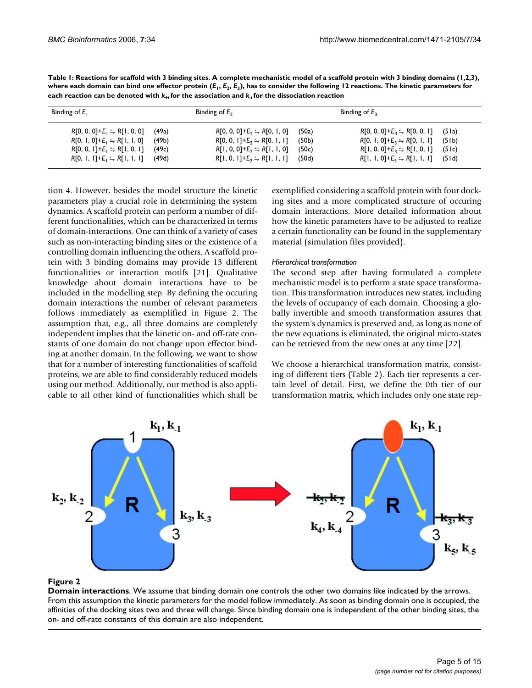| Binding of $E_1$                                 |       | Binding of $E_2$                                 |                    | Binding of $E_3$                                 |       |
|--------------------------------------------------|-------|--------------------------------------------------|--------------------|--------------------------------------------------|-------|
| $R[0, 0, 0] + E_1 \leftrightharpoons R[1, 0, 0]$ | (49a) | $R[0, 0, 0] + E_2 \leftrightharpoons R[0, 1, 0]$ | (50a)              | $R[0, 0, 0] + E_3 \leftrightharpoons R[0, 0, 1]$ | (51a) |
| $R[0, 1, 0] + E_1 \leftrightharpoons R[1, 1, 0]$ | (49b) | $R[0, 0, 1]+E_2 \leftrightharpoons R[0, 1, 1]$   | (50 <sub>b</sub> ) | $R[0, 1, 0] + E_1 \leftrightharpoons R[0, 1, 1]$ | (51b) |
| $R[0, 0, 1]+E_1 \Leftrightarrow R[1, 0, 1]$      | (49c) | $R[1, 0, 0]+E_2 \Leftrightarrow R[1, 1, 0]$      | (50c)              | $R[1, 0, 0]+E_3 \Leftrightarrow R[1, 0, 1]$      | (51c) |
| $R[0, 1, 1]+E_1 \Leftrightarrow R[1, 1, 1]$      | (49d) | $R[1, 0, 1]+E_2 \Leftrightarrow R[1, 1, 1]$      | (50d)              | $R[1, 1, 0]+E_3 \Leftrightarrow R[1, 1, 1]$      | (51d) |

**Table 1: Reactions for scaffold with 3 binding sites. A complete mechanistic model of a scaffold protein with 3 binding domains (1,2,3), where each domain can bind one effector protein (***E***1,** *E***2,** *E***3), has to consider the following 12 reactions. The kinetic parameters for each reaction can be denoted with** *k***+***i* **for the association and** *k***-***i* **for the dissociation reaction**

tion 4. However, besides the model structure the kinetic parameters play a crucial role in determining the system dynamics. A scaffold protein can perform a number of different functionalities, which can be characterized in terms of domain-interactions. One can think of a variety of cases such as non-interacting binding sites or the existence of a controlling domain influencing the others. A scaffold protein with 3 binding domains may provide 13 different functionalities or interaction motifs [21]. Qualitative knowledge about domain interactions have to be included in the modelling step. By defining the occuring domain interactions the number of relevant parameters follows immediately as exemplified in Figure 2. The assumption that, e.g., all three domains are completely independent implies that the kinetic on- and off-rate constants of one domain do not change upon effector binding at another domain. In the following, we want to show that for a number of interesting functionalities of scaffold proteins, we are able to find considerably reduced models using our method. Additionally, our method is also applicable to all other kind of functionalities which shall be exemplified considering a scaffold protein with four docking sites and a more complicated structure of occuring domain interactions. More detailed information about how the kinetic parameters have to be adjusted to realize a certain functionality can be found in the supplementary material (simulation files provided).

# *Hierarchical transformation*

The second step after having formulated a complete mechanistic model is to perform a state space transformation. This transformation introduces new states, including the levels of occupancy of each domain. Choosing a globally invertible and smooth transformation assures that the system's dynamics is preserved and, as long as none of the new equations is eliminated, the original micro-states can be retrieved from the new ones at any time [22].

We choose a hierarchical transformation matrix, consisting of different tiers (Table 2). Each tier represents a certain level of detail. First, we define the 0th tier of our transformation matrix, which includes only one state rep-



# **Figure 2**

**Domain interactions**. We assume that binding domain one controls the other two domains like indicated by the arrows. From this assumption the kinetic parameters for the model follow immediately. As soon as binding domain one is occupied, the affinities of the docking sites two and three will change. Since binding domain one is independent of the other binding sites, the on- and off-rate constants of this domain are also independent.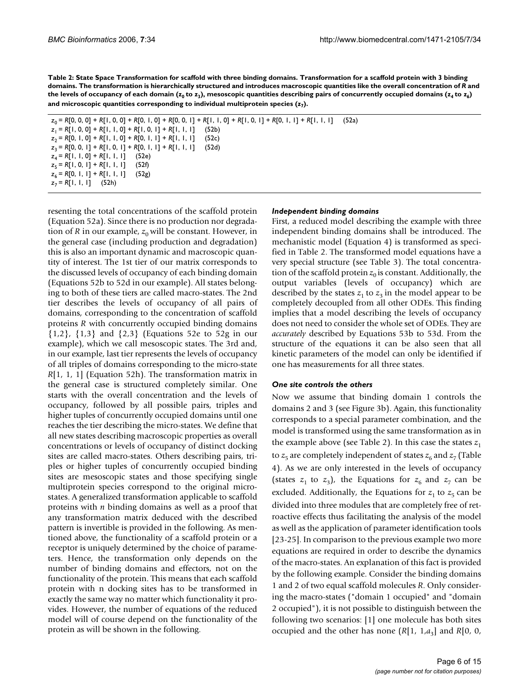**Table 2: State Space Transformation for scaffold with three binding domains. Transformation for a scaffold protein with 3 binding**  domains. The transformation is hierarchically structured and introduces macroscopic quantities like the overall concentration of **R** and the levels of occupancy of each domain ( $z_0$  to  $z_3$ ), mesoscopic quantities describing pairs of concurrently occupied domains ( $z_4$  to  $z_6$ ) **and microscopic quantities corresponding to individual multiprotein species (***z***7).**

*z*0 = *R*[0, 0, 0] + *R*[1, 0, 0] + *R*[0, 1, 0] + *R*[0, 0, 1] + *R*[1, 1, 0] + *R*[1, 0, 1] + *R*[0, 1, 1] + *R*[1, 1, 1] (52a) *z*<sub>1</sub> = *R*[1, 0, 0] + *R*[1, 1, 0] + *R*[1, 0, 1] + *R*[1, 1, 1] (52b)<br>*z*<sub>2</sub> = *R*[0, 1, 0] + *R*[1, 1, 0] + *R*[0, 1, 1] + *R*[1, 1, 1] (52c)  $z_2 = R[0, 1, 0] + R[1, 1, 0] + R[0, 1, 1] + R[1, 1, 1]$ *z*3 = *R*[0, 0, 1] + *R*[1, 0, 1] + *R*[0, 1, 1] + *R*[1, 1, 1] (52d) *z*4 = *R*[1, 1, 0] + *R*[1, 1, 1] (52e) *z*<sub>5</sub> = *R*[1, 0, 1] + *R*[1, 1, 1] (52f)<br>*z*<sub>6</sub> = *R*[0, 1, 1] + *R*[1, 1, 1] (52g)  $z_6 = R[0, 1, 1] + R[1, 1, 1]$ *z*<sub>7</sub> = *R*[1, 1, 1] (52h)

resenting the total concentrations of the scaffold protein (Equation 52a). Since there is no production nor degradation of  $R$  in our example,  $z_0$  will be constant. However, in the general case (including production and degradation) this is also an important dynamic and macroscopic quantity of interest. The 1st tier of our matrix corresponds to the discussed levels of occupancy of each binding domain (Equations 52b to 52d in our example). All states belonging to both of these tiers are called macro-states. The 2nd tier describes the levels of occupancy of all pairs of domains, corresponding to the concentration of scaffold proteins *R* with concurrently occupied binding domains {1,2}, {1,3} and {2,3} (Equations 52e to 52g in our example), which we call mesoscopic states. The 3rd and, in our example, last tier represents the levels of occupancy of all triples of domains corresponding to the micro-state *R*[1, 1, 1] (Equation 52h). The transformation matrix in the general case is structured completely similar. One starts with the overall concentration and the levels of occupancy, followed by all possible pairs, triples and higher tuples of concurrently occupied domains until one reaches the tier describing the micro-states. We define that all new states describing macroscopic properties as overall concentrations or levels of occupancy of distinct docking sites are called macro-states. Others describing pairs, triples or higher tuples of concurrently occupied binding sites are mesoscopic states and those specifying single multiprotein species correspond to the original microstates. A generalized transformation applicable to scaffold proteins with *n* binding domains as well as a proof that any transformation matrix deduced with the described pattern is invertible is provided in the following. As mentioned above, the functionality of a scaffold protein or a receptor is uniquely determined by the choice of parameters. Hence, the transformation only depends on the number of binding domains and effectors, not on the functionality of the protein. This means that each scaffold protein with n docking sites has to be transformed in exactly the same way no matter which functionality it provides. However, the number of equations of the reduced model will of course depend on the functionality of the protein as will be shown in the following.

### *Independent binding domains*

First, a reduced model describing the example with three independent binding domains shall be introduced. The mechanistic model (Equation 4) is transformed as specified in Table 2. The transformed model equations have a very special structure (see Table 3). The total concentration of the scaffold protein  $z_0$  is constant. Additionally, the output variables (levels of occupancy) which are described by the states  $z_1$  to  $z_3$  in the model appear to be completely decoupled from all other ODEs. This finding implies that a model describing the levels of occupancy does not need to consider the whole set of ODEs. They are *accurately* described by Equations 53b to 53d. From the structure of the equations it can be also seen that all kinetic parameters of the model can only be identified if one has measurements for all three states.

### *One site controls the others*

Now we assume that binding domain 1 controls the domains 2 and 3 (see Figure 3b). Again, this functionality corresponds to a special parameter combination, and the model is transformed using the same transformation as in the example above (see Table 2). In this case the states  $z_1$ to  $z_5$  are completely independent of states  $z_6$  and  $z_7$  (Table 4). As we are only interested in the levels of occupancy (states  $z_1$  to  $z_3$ ), the Equations for  $z_6$  and  $z_7$  can be excluded. Additionally, the Equations for  $z_1$  to  $z_5$  can be divided into three modules that are completely free of retroactive effects thus facilitating the analysis of the model as well as the application of parameter identification tools [23-25]. In comparison to the previous example two more equations are required in order to describe the dynamics of the macro-states. An explanation of this fact is provided by the following example. Consider the binding domains 1 and 2 of two equal scaffold molecules *R*. Only considering the macro-states ("domain 1 occupied" and "domain 2 occupied"), it is not possible to distinguish between the following two scenarios: [1] one molecule has both sites occupied and the other has none  $(R[1, 1,a_3]$  and  $R[0, 0, 1]$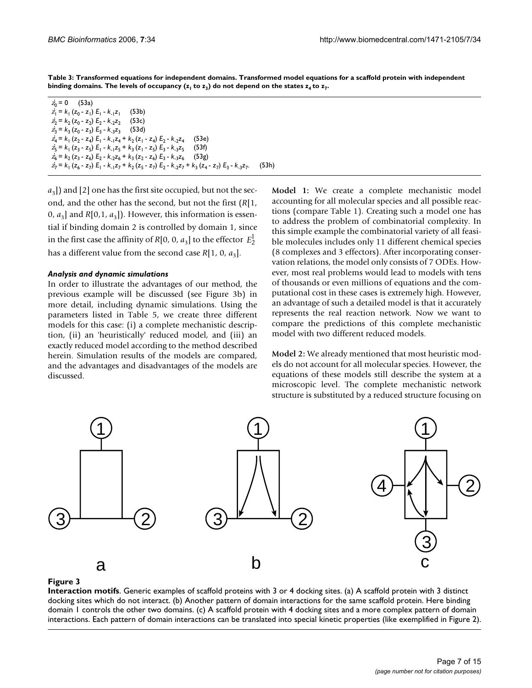| Table 3: Transformed equations for independent domains. Transformed model equations for a scaffold protein with independent |
|-----------------------------------------------------------------------------------------------------------------------------|
| binding domains. The levels of occupancy ( $z_1$ to $z_3$ ) do not depend on the states $z_4$ to $z_7$ .                    |

 $\dot{z}_0 = 0$  (53a)  $\dot{z}_1 = k_1 (z_0 - z_1) E_1 - k_1 z_1$  (53b)<br> $\dot{z}_2 = k_2 (z_0 - z_2) E_2 - k_2 z_2$  (53c)  $\dot{z}_2 = k_2 (z_0 - z_2) E_2 - k_2 z_2$  (53c)<br> $\dot{z}_3 = k_3 (z_0 - z_3) E_3 - k_3 z_3$  (53d)  $\dot{z}_3 = k_3 (z_0 - z_3) E_3 - k_{33}z_3$  $\dot{z}_4 = k_1 (z_2 - z_4) E_1 - k_1 z_4 + k_2 (z_1 - z_4) E_2 - k_2 z_4$  (53e)<br> $\dot{z}_5 = k_1 (z_3 - z_5) E_1 - k_1 z_5 + k_3 (z_1 - z_5) E_3 - k_3 z_5$  (53f)  $\dot{z}_5 = k_1 (z_3 - z_5) E_1 - k_{-1} z_5 + k_3 (z_1 - z_5) E_3 - k_{-3} z_5$  $\dot{z}_6 = k_2 (z_3 - z_6) E_2 - k_2 z_6 + k_3 (z_2 - z_6) E_3 - k_3 z_6$  (53g)  $\dot{z}_7 = k_1 (z_6 - z_7) E_1 - k_1 z_7 + k_2 (z_5 - z_7) E_2 - k_2 z_7 + k_3 (z_4 - z_7) E_3 - k_3 z_7.$  (53h)

 $a_3$ ]) and [2] one has the first site occupied, but not the second, and the other has the second, but not the first (*R*[1,  $[0, a_3]$  and  $R[0,1, a_3]$ . However, this information is essential if binding domain 2 is controlled by domain 1, since in the first case the affinity of *R*[0, 0,  $a_3$ ] to the effector  $E_2^1$ has a different value from the second case  $R[1, 0, a_3]$ .

### *Analysis and dynamic simulations*

In order to illustrate the advantages of our method, the previous example will be discussed (see Figure 3b) in more detail, including dynamic simulations. Using the parameters listed in Table 5, we create three different models for this case: (i) a complete mechanistic description, (ii) an 'heuristically' reduced model, and (iii) an exactly reduced model according to the method described herein. Simulation results of the models are compared, and the advantages and disadvantages of the models are discussed.

**Model 1:** We create a complete mechanistic model accounting for all molecular species and all possible reactions (compare Table 1). Creating such a model one has to address the problem of combinatorial complexity. In this simple example the combinatorial variety of all feasible molecules includes only 11 different chemical species (8 complexes and 3 effectors). After incorporating conservation relations, the model only consists of 7 ODEs. However, most real problems would lead to models with tens of thousands or even millions of equations and the computational cost in these cases is extremely high. However, an advantage of such a detailed model is that it accurately represents the real reaction network. Now we want to compare the predictions of this complete mechanistic model with two different reduced models.

**Model 2:** We already mentioned that most heuristic models do not account for all molecular species. However, the equations of these models still describe the system at a microscopic level. The complete mechanistic network structure is substituted by a reduced structure focusing on



### **Figure 3**

**Interaction motifs**. Generic examples of scaffold proteins with 3 or 4 docking sites. (a) A scaffold protein with 3 distinct docking sites which do not interact. (b) Another pattern of domain interactions for the same scaffold protein. Here binding domain 1 controls the other two domains. (c) A scaffold protein with 4 docking sites and a more complex pattern of domain interactions. Each pattern of domain interactions can be translated into special kinetic properties (like exemplified in Figure 2).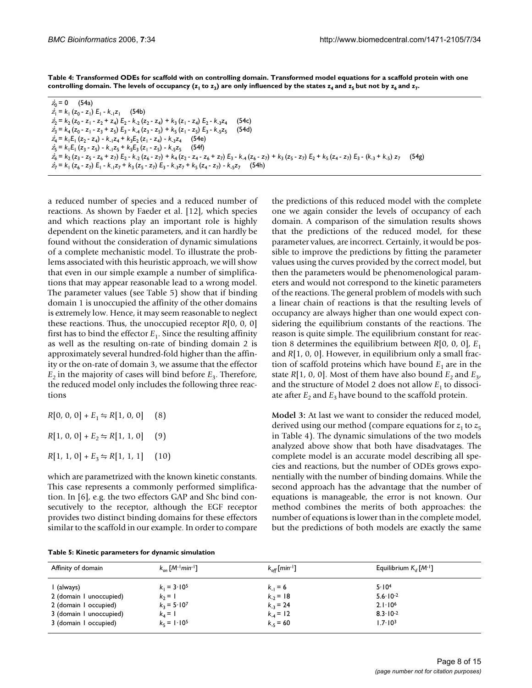**Table 4: Transformed ODEs for scaffold with on controlling domain. Transformed model equations for a scaffold protein with one**  controlling domain. The levels of occupancy  $(z_1 \text{ to } z_3)$  are only influenced by the states  $z_4$  and  $z_5$  but not by  $z_6$  and  $z_7$ .

| (54a)<br>$\dot{z}_0 = 0$                                                                                                                                                                                                                                                                                       |       |
|----------------------------------------------------------------------------------------------------------------------------------------------------------------------------------------------------------------------------------------------------------------------------------------------------------------|-------|
| $\dot{z}_1 = k_1 (z_0 - z_1) E_1 - k_2 z_1$<br>(54b)                                                                                                                                                                                                                                                           |       |
| (54c)<br>$\dot{z}_2 = k_2 (z_0 - z_1 - z_2 + z_4) E_2 - k_2 (z_2 - z_4) + k_3 (z_1 - z_4) E_2 - k_3 z_4$                                                                                                                                                                                                       |       |
| (54d)<br>$\dot{z}_3 = k_4 (z_0 - z_1 - z_3 + z_5) E_3 - k_4 (z_3 - z_5) + k_5 (z_1 - z_5) E_3 - k_5 z_5$                                                                                                                                                                                                       |       |
| $\dot{z}_4 = k_1 E_1 (z_2 - z_4) - k_1 z_4 + k_2 E_2 (z_1 - z_4) - k_3 z_4$<br>(54e)                                                                                                                                                                                                                           |       |
| $\dot{z}_5 = k_1 E_1 (z_3 - z_5) - k_1 z_5 + k_5 E_3 (z_1 - z_5) - k_5 z_5$<br>(54f)                                                                                                                                                                                                                           |       |
| $\dot{z}_6 = k_2 (z_3 - z_5 - z_6 + z_7) E_2 - k_2 (z_6 - z_7) + k_4 (z_2 - z_4 - z_6 + z_7) E_3 - k_4 (z_6 - z_7) + k_3 (z_5 - z_7) E_2 + k_5 (z_4 - z_7) E_3 - (k_3 + k_5) z_7$                                                                                                                              | (54g) |
| (54h)<br>$\dot{z}_7$ = k <sub>1</sub> (z <sub>6</sub> - z <sub>7</sub> ) E <sub>1</sub> - k <sub>1</sub> z <sub>7</sub> + k <sub>3</sub> (z <sub>5</sub> - z <sub>7</sub> ) E <sub>3</sub> - k <sub>3</sub> z <sub>7</sub> + k <sub>5</sub> (z <sub>4</sub> - z <sub>7</sub> ) - k <sub>5</sub> z <sub>7</sub> |       |

a reduced number of species and a reduced number of reactions. As shown by Faeder et al. [12], which species and which reactions play an important role is highly dependent on the kinetic parameters, and it can hardly be found without the consideration of dynamic simulations of a complete mechanistic model. To illustrate the problems associated with this heuristic approach, we will show that even in our simple example a number of simplifications that may appear reasonable lead to a wrong model. The parameter values (see Table 5) show that if binding domain 1 is unoccupied the affinity of the other domains is extremely low. Hence, it may seem reasonable to neglect these reactions. Thus, the unoccupied receptor *R*[0, 0, 0] first has to bind the effector  $E_1$ . Since the resulting affinity as well as the resulting on-rate of binding domain 2 is approximately several hundred-fold higher than the affinity or the on-rate of domain 3, we assume that the effector  $E_2$  in the majority of cases will bind before  $E_3$ . Therefore, the reduced model only includes the following three reactions

| $R[0, 0, 0] + E_1 \leftrightharpoons R[1, 0, 0]$ (8)  |  |
|-------------------------------------------------------|--|
| $R[1, 0, 0] + E_2 \leftrightharpoons R[1, 1, 0]$ (9)  |  |
| $R[1, 1, 0] + E_3 \leftrightharpoons R[1, 1, 1]$ (10) |  |

which are parametrized with the known kinetic constants. This case represents a commonly performed simplification. In [6], e.g. the two effectors GAP and Shc bind consecutively to the receptor, although the EGF receptor provides two distinct binding domains for these effectors similar to the scaffold in our example. In order to compare the predictions of this reduced model with the complete one we again consider the levels of occupancy of each domain. A comparison of the simulation results shows that the predictions of the reduced model, for these parameter values, are incorrect. Certainly, it would be possible to improve the predictions by fitting the parameter values using the curves provided by the correct model, but then the parameters would be phenomenological parameters and would not correspond to the kinetic parameters of the reactions. The general problem of models with such a linear chain of reactions is that the resulting levels of occupancy are always higher than one would expect considering the equilibrium constants of the reactions. The reason is quite simple. The equilibrium constant for reaction 8 determines the equilibrium between *R*[0, 0, 0], *E*<sup>1</sup> and *R*[1, 0, 0]. However, in equilibrium only a small fraction of scaffold proteins which have bound  $E_1$  are in the state  $R[1, 0, 0]$ . Most of them have also bound  $E_2$  and  $E_3$ , and the structure of Model 2 does not allow  $E_1$  to dissociate after  $E_2$  and  $E_3$  have bound to the scaffold protein.

**Model 3:** At last we want to consider the reduced model, derived using our method (compare equations for  $z_1$  to  $z_5$ ) in Table 4). The dynamic simulations of the two models analyzed above show that both have disadvatages. The complete model is an accurate model describing all species and reactions, but the number of ODEs grows exponentially with the number of binding domains. While the second approach has the advantage that the number of equations is manageable, the error is not known. Our method combines the merits of both approaches: the number of equations is lower than in the complete model, but the predictions of both models are exactly the same

| Affinity of domain      | $k_{on}$ [M <sup>-1</sup> min <sup>-1</sup> ] | $k_{\text{off}}$ [min <sup>-1</sup> ] | Equilibrium $K_d$ $[M^{-1}]$ |  |
|-------------------------|-----------------------------------------------|---------------------------------------|------------------------------|--|
| I (always)              | $k_1 = 3.10^5$                                | $k_{-1} = 6$                          | 5.104                        |  |
| 2 (domain I unoccupied) | $k_2 = 1$                                     | $k_{2} = 18$                          | $5.6 \cdot 10^{-2}$          |  |
| 2 (domain I occupied)   | $k_2 = 5.10^7$                                | $k_{3} = 24$                          | $2.1 \cdot 10^{6}$           |  |
| 3 (domain I unoccupied) | $k_4 = 1$                                     | $k_{A} = 12$                          | $8.3 \cdot 10^{-2}$          |  |
| 3 (domain I occupied)   | $k_{s} = 1.105$                               | $k_{.5} = 60$                         | $1.7 \cdot 10^{3}$           |  |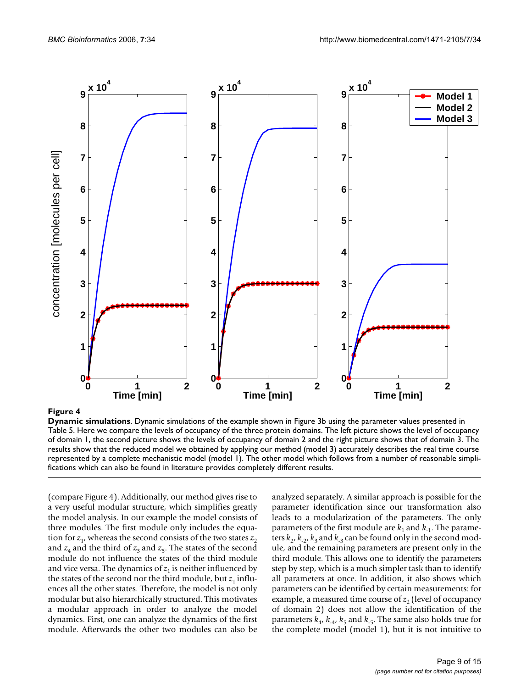

### **Figure 4**

**Dynamic simulations**. Dynamic simulations of the example shown in Figure 3b using the parameter values presented in Table 5. Here we compare the levels of occupancy of the three protein domains. The left picture shows the level of occupancy of domain 1, the second picture shows the levels of occupancy of domain 2 and the right picture shows that of domain 3. The results show that the reduced model we obtained by applying our method (model 3) accurately describes the real time course represented by a complete mechanistic model (model 1). The other model which follows from a number of reasonable simplifications which can also be found in literature provides completely different results.

(compare Figure 4). Additionally, our method gives rise to a very useful modular structure, which simplifies greatly the model analysis. In our example the model consists of three modules. The first module only includes the equation for  $z_1$ , whereas the second consists of the two states  $z_2$ and  $z_4$  and the third of  $z_3$  and  $z_5$ . The states of the second module do not influence the states of the third module and vice versa. The dynamics of  $z<sub>1</sub>$  is neither influenced by the states of the second nor the third module, but  $z_1$  influences all the other states. Therefore, the model is not only modular but also hierarchically structured. This motivates a modular approach in order to analyze the model dynamics. First, one can analyze the dynamics of the first module. Afterwards the other two modules can also be

analyzed separately. A similar approach is possible for the parameter identification since our transformation also leads to a modularization of the parameters. The only parameters of the first module are  $k_1$  and  $k_1$ . The parameters  $k_2$ ,  $k_2$ ,  $k_3$  and  $k_3$  can be found only in the second module, and the remaining parameters are present only in the third module. This allows one to identify the parameters step by step, which is a much simpler task than to identify all parameters at once. In addition, it also shows which parameters can be identified by certain measurements: for example, a measured time course of  $z_2$  (level of occupancy of domain 2) does not allow the identification of the parameters  $k_4$ ,  $k_4$ ,  $k_5$  and  $k_5$ . The same also holds true for the complete model (model 1), but it is not intuitive to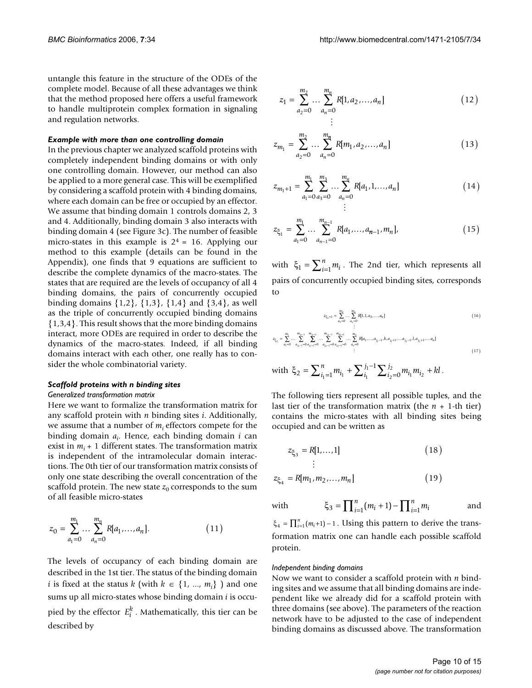untangle this feature in the structure of the ODEs of the complete model. Because of all these advantages we think that the method proposed here offers a useful framework to handle multiprotein complex formation in signaling and regulation networks.

### *Example with more than one controlling domain*

In the previous chapter we analyzed scaffold proteins with completely independent binding domains or with only one controlling domain. However, our method can also be applied to a more general case. This will be exemplified by considering a scaffold protein with 4 binding domains, where each domain can be free or occupied by an effector. We assume that binding domain 1 controls domains 2, 3 and 4. Additionally, binding domain 3 also interacts with binding domain 4 (see Figure 3c). The number of feasible micro-states in this example is  $2^4 = 16$ . Applying our method to this example (details can be found in the Appendix), one finds that 9 equations are sufficient to describe the complete dynamics of the macro-states. The states that are required are the levels of occupancy of all 4 binding domains, the pairs of concurrently occupied binding domains {1,2}, {1,3}, {1,4} and {3,4}, as well as the triple of concurrently occupied binding domains  ${1,3,4}$ . This result shows that the more binding domains interact, more ODEs are required in order to describe the dynamics of the macro-states. Indeed, if all binding domains interact with each other, one really has to consider the whole combinatorial variety.

### *Scaffold proteins with n binding sites*

#### *Generalized transformation matrix*

Here we want to formalize the transformation matrix for any scaffold protein with *n* binding sites *i*. Additionally, we assume that a number of *mi* effectors compete for the binding domain *ai* . Hence, each binding domain *i* can exist in  $m_i + 1$  different states. The transformation matrix is independent of the intramolecular domain interactions. The 0th tier of our transformation matrix consists of only one state describing the overall concentration of the scaffold protein. The new state  $z_0$  corresponds to the sum of all feasible micro-states

$$
z_0 = \sum_{a_1=0}^{m_1} \dots \sum_{a_n=0}^{m_n} R[a_1, \dots, a_n].
$$
 (11)

The levels of occupancy of each binding domain are described in the 1st tier. The status of the binding domain *i* is fixed at the status *k* (with  $k \in \{1, ..., m_i\}$ ) and one sums up all micro-states whose binding domain *i* is occupied by the effector  $E_i^k$  . Mathematically, this tier can be described by

$$
z_1 = \sum_{a_2=0}^{m_2} \dots \sum_{a_n=0}^{m_n} R[1, a_2, \dots, a_n]
$$
 (12)

$$
z_{m_1} = \sum_{a_2=0}^{m_2} \dots \sum_{a_n=0}^{m_n} R[m_1, a_2, \dots, a_n]
$$
 (13)

$$
z_{m_1+1} = \sum_{a_1=0}^{m_1} \sum_{a_3=0}^{m_3} \dots \sum_{a_n=0}^{m_n} R[a_1, 1, \dots, a_n]
$$
 (14)

$$
z_{\xi_1} = \sum_{a_1=0}^{m_1} \dots \sum_{a_{n-1}=0}^{m_{n-1}} R[a_1, \dots, a_{n-1}, m_n],
$$
 (15)

with  $\xi_1 = \sum_{i=1}^n m_i$ . The 2nd tier, which represents all pairs of concurrently occupied binding sites, corresponds to

$$
z_{\xi_1+1} = \sum_{a_3=0}^{m_1} \dots \sum_{a_n=0}^{m_n} R[1, 1, a_3, \dots, a_n]
$$
\n
$$
\vdots
$$
\n
$$
\sum_{a_1=0}^{m_1} \dots \sum_{a_{j_1-1}=0}^{m_{j_1-1}} \dots \sum_{a_{j_2-1}=0}^{m_{j_2-1}} \dots \sum_{a_{j_r}=0}^{m_{j_r-1}} R[a_1, \dots, a_{j_1-1}, k, a_{j_1+1}, \dots a_{j_2-1}, l, a_{j_2+1}, \dots a_n]
$$
\n
$$
(16)
$$
\n
$$
a_1 = 0 \quad a_{j_1-1} = 0 \quad a_{j_1+1} = 0 \quad a_{j_2-1} = 0 \quad a_{j_2-1} = 0 \quad a_{j_2-1} = 0 \quad a_{j_2-1} = 0 \quad a_{j_2-1} = 0 \quad a_{j_2-1} = 0 \quad a_{j_2-1} = 0 \quad a_{j_2-1} = 0 \quad a_{j_2-1} = 0 \quad a_{j_2-1} = 0 \quad a_{j_2-1} = 0 \quad a_{j_2-1} = 0 \quad a_{j_2-1} = 0 \quad a_{j_2-1} = 0 \quad a_{j_2-1} = 0 \quad a_{j_2-1} = 0 \quad a_{j_2-1} = 0 \quad a_{j_2-1} = 0 \quad a_{j_2-1} = 0 \quad a_{j_2-1} = 0 \quad a_{j_2-1} = 0 \quad a_{j_2-1} = 0 \quad a_{j_2-1} = 0 \quad a_{j_2-1} = 0 \quad a_{j_2-1} = 0 \quad a_{j_2-1} = 0 \quad a_{j_2-1} = 0 \quad a_{j_2-1} = 0 \quad a_{j_2-1} = 0 \quad a_{j_2-1} = 0 \quad a_{j_2-1} = 0 \quad a_{j_2-1} = 0 \quad a_{j_2-1} = 0 \quad a_{j_2-1} = 0 \quad a_{j_2-1} = 0 \quad a_{j_2-1} = 0 \quad a_{j_2-1} = 0 \quad a_{j_2-1} = 0 \quad a_{
$$

 $\vdots$  (17)

with 
$$
\xi_2 = \sum_{i_1=1}^n m_{i_1} + \sum_{i_1}^{j_1-1} \sum_{i_2=0}^{j_2} m_{i_1} m_{i_2} + kl
$$
.

The following tiers represent all possible tuples, and the last tier of the transformation matrix (the  $n + 1$ -th tier) contains the micro-states with all binding sites being occupied and can be written as

$$
z_{\xi_3} = R[1,...,1] \tag{18}
$$

$$
z_{\xi_4} = R[m_1, m_2, \dots, m_n]
$$
 (19)

with  $\xi_3 = \prod_{i=1}^n (m_i + 1) - \prod_{i=1}^n m_i$  and *i n*

*z* ξ 2 =

 $\xi_4 = \prod_{i=1}^n (m_i + 1) - 1$ . Using this pattern to derive the transformation matrix one can handle each possible scaffold protein.

#### *Independent binding domains*

Now we want to consider a scaffold protein with *n* binding sites and we assume that all binding domains are independent like we already did for a scaffold protein with three domains (see above). The parameters of the reaction network have to be adjusted to the case of independent binding domains as discussed above. The transformation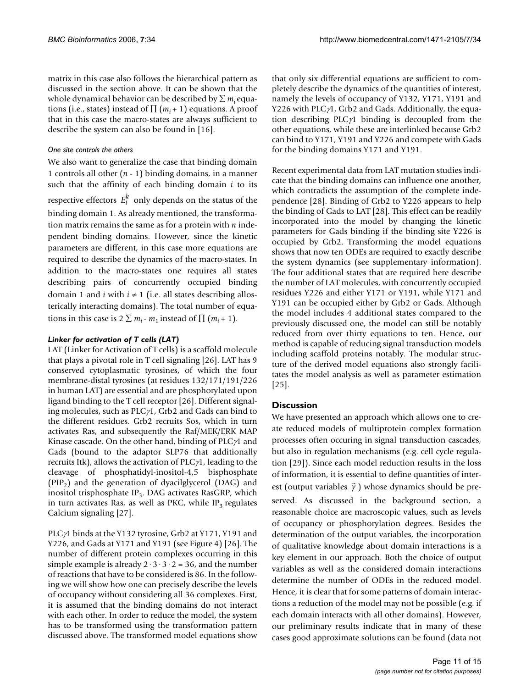matrix in this case also follows the hierarchical pattern as discussed in the section above. It can be shown that the whole dynamical behavior can be described by ∑ *mi* equations (i.e., states) instead of  $\prod (m_i + 1)$  equations. A proof that in this case the macro-states are always sufficient to describe the system can also be found in [16].

### *One site controls the others*

We also want to generalize the case that binding domain 1 controls all other (*n* - 1) binding domains, in a manner such that the affinity of each binding domain *i* to its respective effectors  $E_i^k$  only depends on the status of the binding domain 1. As already mentioned, the transformation matrix remains the same as for a protein with *n* independent binding domains. However, since the kinetic parameters are different, in this case more equations are required to describe the dynamics of the macro-states. In addition to the macro-states one requires all states describing pairs of concurrently occupied binding domain 1 and *i* with  $i \neq 1$  (i.e. all states describing allosterically interacting domains). The total number of equations in this case is  $2 \sum m_i - m_1$  instead of  $\prod (m_i + 1)$ .

# *Linker for activation of T cells (LAT)*

LAT (Linker for Activation of T cells) is a scaffold molecule that plays a pivotal role in T cell signaling [26]. LAT has 9 conserved cytoplasmatic tyrosines, of which the four membrane-distal tyrosines (at residues 132/171/191/226 in human LAT) are essential and are phosphorylated upon ligand binding to the T cell receptor [26]. Different signaling molecules, such as  $PLC\gamma1$ , Grb2 and Gads can bind to the different residues. Grb2 recruits Sos, which in turn activates Ras, and subsequently the Raf/MEK/ERK MAP Kinase cascade. On the other hand, binding of  $PLC\gamma1$  and Gads (bound to the adaptor SLP76 that additionally recruits Itk), allows the activation of  $PLC\gamma1$ , leading to the cleavage of phosphatidyl-inositol-4,5 bisphosphate (PIP<sub>2</sub>) and the generation of dyacilglycerol (DAG) and inositol trisphosphate  $IP_3$ . DAG activates RasGRP, which in turn activates Ras, as well as PKC, while  $IP_3$  regulates Calcium signaling [27].

PLCγ1 binds at the Y132 tyrosine, Grb2 at Y171, Y191 and Y226, and Gads at Y171 and Y191 (see Figure 4) [26]. The number of different protein complexes occurring in this simple example is already  $2 \cdot 3 \cdot 3 \cdot 2 = 36$ , and the number of reactions that have to be considered is 86. In the following we will show how one can precisely describe the levels of occupancy without considering all 36 complexes. First, it is assumed that the binding domains do not interact with each other. In order to reduce the model, the system has to be transformed using the transformation pattern discussed above. The transformed model equations show

that only six differential equations are sufficient to completely describe the dynamics of the quantities of interest, namely the levels of occupancy of Y132, Y171, Y191 and Y226 with PLCγ1, Grb2 and Gads. Additionally, the equation describing PLCγ1 binding is decoupled from the other equations, while these are interlinked because Grb2 can bind to Y171, Y191 and Y226 and compete with Gads for the binding domains Y171 and Y191.

Recent experimental data from LAT mutation studies indicate that the binding domains can influence one another, which contradicts the assumption of the complete independence [28]. Binding of Grb2 to Y226 appears to help the binding of Gads to LAT [28]. This effect can be readily incorporated into the model by changing the kinetic parameters for Gads binding if the binding site Y226 is occupied by Grb2. Transforming the model equations shows that now ten ODEs are required to exactly describe the system dynamics (see supplementary information). The four additional states that are required here describe the number of LAT molecules, with concurrently occupied residues Y226 and either Y171 or Y191, while Y171 and Y191 can be occupied either by Grb2 or Gads. Although the model includes 4 additional states compared to the previously discussed one, the model can still be notably reduced from over thirty equations to ten. Hence, our method is capable of reducing signal transduction models including scaffold proteins notably. The modular structure of the derived model equations also strongly facilitates the model analysis as well as parameter estimation [25].

# **Discussion**

We have presented an approach which allows one to create reduced models of multiprotein complex formation processes often occuring in signal transduction cascades, but also in regulation mechanisms (e.g. cell cycle regulation [29]). Since each model reduction results in the loss of information, it is essential to define quantities of interest (output variables  $\vec{y}$ ) whose dynamics should be preserved. As discussed in the background section, a reasonable choice are macroscopic values, such as levels of occupancy or phosphorylation degrees. Besides the determination of the output variables, the incorporation of qualitative knowledge about domain interactions is a key element in our approach. Both the choice of output variables as well as the considered domain interactions determine the number of ODEs in the reduced model. Hence, it is clear that for some patterns of domain interactions a reduction of the model may not be possible (e.g. if each domain interacts with all other domains). However, our preliminary results indicate that in many of these cases good approximate solutions can be found (data not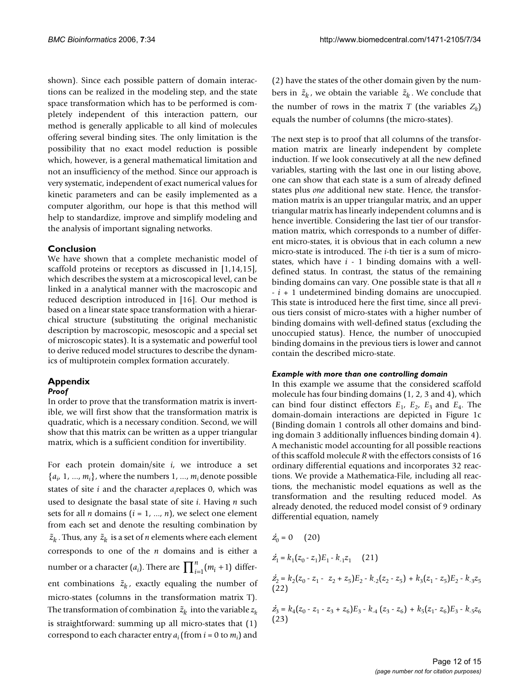shown). Since each possible pattern of domain interactions can be realized in the modeling step, and the state space transformation which has to be performed is completely independent of this interaction pattern, our method is generally applicable to all kind of molecules offering several binding sites. The only limitation is the possibility that no exact model reduction is possible which, however, is a general mathematical limitation and not an insufficiency of the method. Since our approach is very systematic, independent of exact numerical values for kinetic parameters and can be easily implemented as a computer algorithm, our hope is that this method will help to standardize, improve and simplify modeling and the analysis of important signaling networks.

# **Conclusion**

We have shown that a complete mechanistic model of scaffold proteins or receptors as discussed in [1,14,15], which describes the system at a microscopical level, can be linked in a analytical manner with the macroscopic and reduced description introduced in [16]. Our method is based on a linear state space transformation with a hierarchical structure (substituting the original mechanistic description by macroscopic, mesoscopic and a special set of microscopic states). It is a systematic and powerful tool to derive reduced model structures to describe the dynamics of multiprotein complex formation accurately.

# **Appendix**

# *Proof*

In order to prove that the transformation matrix is invertible, we will first show that the transformation matrix is quadratic, which is a necessary condition. Second, we will show that this matrix can be written as a upper triangular matrix, which is a sufficient condition for invertibility.

For each protein domain/site *i*, we introduce a set  $\{a_i, 1, ..., m_i\}$ , where the numbers 1, ...,  $m_i$  denote possible states of site *i* and the character *ai* replaces 0, which was used to designate the basal state of site *i*. Having *n* such sets for all *n* domains (*i* = 1, ..., *n*), we select one element from each set and denote the resulting combination by  $\tilde{z}_k$  . Thus, any  $\tilde{z}_k$  is a set of *n* elements where each element corresponds to one of the *n* domains and is either a number or a character  $(a_i)$ . There are  $\prod_{i=1}^n (m_i + 1)$  different combinations  $\tilde{z}_k$ , exactly equaling the number of micro-states (columns in the transformation matrix T). The transformation of combination  $\tilde{z}_k$  into the variable  $z_k$ is straightforward: summing up all micro-states that (1) correspond to each character entry  $a_i$  (from  $i = 0$  to  $m_i$ ) and

(2) have the states of the other domain given by the numbers in  $\tilde{z}_k$ , we obtain the variable  $\tilde{z}_k$ . We conclude that the number of rows in the matrix *T* (the variables  $Z_k$ ) equals the number of columns (the micro-states).

The next step is to proof that all columns of the transformation matrix are linearly independent by complete induction. If we look consecutively at all the new defined variables, starting with the last one in our listing above, one can show that each state is a sum of already defined states plus *one* additional new state. Hence, the transformation matrix is an upper triangular matrix, and an upper triangular matrix has linearly independent columns and is hence invertible. Considering the last tier of our transformation matrix, which corresponds to a number of different micro-states, it is obvious that in each column a new micro-state is introduced. The *i*-th tier is a sum of microstates, which have *i* - 1 binding domains with a welldefined status. In contrast, the status of the remaining binding domains can vary. One possible state is that all *n* - *i* + 1 undetermined binding domains are unoccupied. This state is introduced here the first time, since all previous tiers consist of micro-states with a higher number of binding domains with well-defined status (excluding the unoccupied status). Hence, the number of unoccupied binding domains in the previous tiers is lower and cannot contain the described micro-state.

# *Example with more than one controlling domain*

In this example we assume that the considered scaffold molecule has four binding domains (1, 2, 3 and 4), which can bind four distinct effectors  $E_1$ ,  $E_2$ ,  $E_3$  and  $E_4$ . The domain-domain interactions are depicted in Figure 1c (Binding domain 1 controls all other domains and binding domain 3 additionally influences binding domain 4). A mechanistic model accounting for all possible reactions of this scaffold molecule *R* with the effectors consists of 16 ordinary differential equations and incorporates 32 reactions. We provide a Mathematica-File, including all reactions, the mechanistic model equations as well as the transformation and the resulting reduced model. As already denoted, the reduced model consist of 9 ordinary differential equation, namely

$$
\begin{aligned}\n\dot{z}_0 &= 0 \quad (20) \\
\dot{z}_1 &= k_1(z_0 - z_1)E_1 - k_{-1}z_1 \quad (21) \\
\dot{z}_2 &= k_2(z_0 - z_1 - z_2 + z_5)E_2 - k_{-2}(z_2 - z_5) + k_3(z_1 - z_5)E_2 - k_{-3}z_5 \\
(22) \\
\dot{z}_3 &= k_4(z_0 - z_1 - z_3 + z_6)E_3 - k_{-4}(z_3 - z_6) + k_5(z_1 - z_6)E_3 - k_{-5}z_6 \\
(23)\n\end{aligned}
$$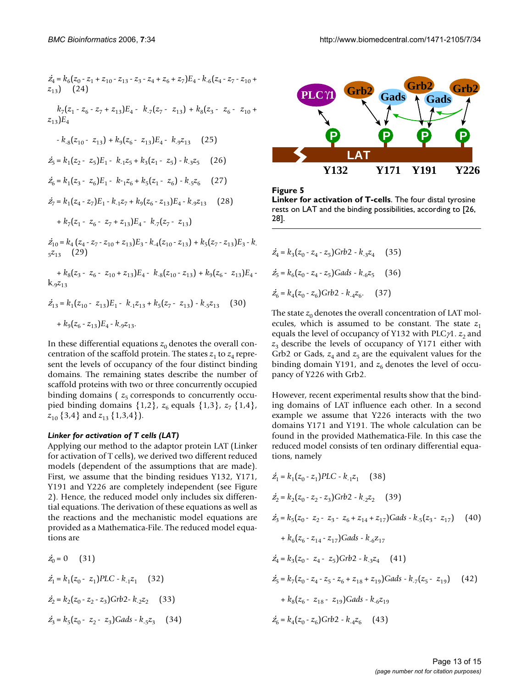$$
\begin{aligned} \dot{z}_4 &= k_6 \big( z_0 - z_1 + z_{10} - z_{13} - z_3 - z_4 + z_6 + z_7 \big) E_4 - k_{-6} \big( z_4 - z_7 - z_{10} + z_{13} \big) \end{aligned}
$$

 $k_7(z_1 - z_6 - z_7 + z_{13})E_4 - k_7(z_7 - z_{13}) + k_8(z_3 - z_6 - z_{10} + z_{11})$  $z_{13}E_4$ 

$$
-k_{.8}(z_{10} - z_{13}) + k_{9}(z_{6} - z_{13})E_{4} - k_{.9}z_{13} \quad (25)
$$
  
\n
$$
\dot{z}_{5} = k_{1}(z_{2} - z_{5})E_{1} - k_{.1}z_{5} + k_{3}(z_{1} - z_{5}) - k_{.3}z_{5} \quad (26)
$$
  
\n
$$
\dot{z}_{6} = k_{1}(z_{3} - z_{6})E_{1} - k_{.1}z_{6} + k_{5}(z_{1} - z_{6}) - k_{.5}z_{6} \quad (27)
$$
  
\n
$$
\dot{z}_{7} = k_{1}(z_{4} - z_{7})E_{1} - k_{.1}z_{7} + k_{9}(z_{6} - z_{13})E_{4} - k_{.9}z_{13} \quad (28)
$$
  
\n
$$
+ k_{7}(z_{1} - z_{6} - z_{7} + z_{13})E_{4} - k_{.7}(z_{7} - z_{13})
$$

 $\dot{z}_{10} = k_4 (z_4 - z_7 - z_{10} + z_{13})E_3 - k_4 (z_{10} - z_{13}) + k_5 (z_7 - z_{13})E_3 - k_4$  $z_{13}$  (29)

+  $k_8(z_3 - z_6 - z_{10} + z_{13})E_4 - k_{8}(z_{10} - z_{13}) + k_9(z_6 - z_{13})E_4$  $k_{9}z_{13}$ 

$$
\dot{z}_{13} = k_1(z_{10} - z_{13})E_1 - k_1z_{13} + k_5(z_7 - z_{13}) - k_5z_{13}
$$
 (30)  
+  $k_9(z_6 - z_{13})E_4 - k_9z_{13}$ .

In these differential equations  $z_0$  denotes the overall concentration of the scaffold protein. The states  $z_1$  to  $z_4$  represent the levels of occupancy of the four distinct binding domains. The remaining states describe the number of scaffold proteins with two or three concurrently occupied binding domains ( $z_5$  corresponds to concurrently occupied binding domains  $\{1,2\}$ ,  $z_6$  equals  $\{1,3\}$ ,  $z_7$   $\{1,4\}$ , *z*<sub>10</sub> {3,4} and *z*<sub>13</sub> {1,3,4}).

### *Linker for activation of T cells (LAT)*

Applying our method to the adaptor protein LAT (Linker for activation of T cells), we derived two different reduced models (dependent of the assumptions that are made). First, we assume that the binding residues Y132, Y171, Y191 and Y226 are completely independent (see Figure 2). Hence, the reduced model only includes six differential equations. The derivation of these equations as well as the reactions and the mechanistic model equations are provided as a Mathematica-File. The reduced model equations are

$$
\begin{aligned}\n\dot{z}_0 &= 0 \quad (31) \\
\dot{z}_1 &= k_1 (z_0 - z_1) P L C - k_{-1} z_1 \quad (32) \\
\dot{z}_2 &= k_2 (z_0 - z_2 - z_3) \quad \text{Grb2-} \quad k_{-2} z_2 \quad (33) \\
\dot{z}_3 &= k_5 (z_0 - z_2 - z_3) \quad \text{Gads} - k_{-5} z_3 \quad (34)\n\end{aligned}
$$



### Figure 5

**Linker for activation of T-cells**. The four distal tyrosine rests on LAT and the binding possibilities, according to [26, 28].

$$
\dot{z}_4 = k_3(z_0 - z_4 - z_5)Grb2 - k_{.3}z_4 \quad (35)
$$
\n
$$
\dot{z}_5 = k_6(z_0 - z_4 - z_5)Gads - k_{.6}z_5 \quad (36)
$$
\n
$$
\dot{z}_6 = k_4(z_0 - z_6)Grb2 - k_{.4}z_6. \quad (37)
$$

The state  $z_0$  denotes the overall concentration of LAT molecules, which is assumed to be constant. The state  $z_1$ equals the level of occupancy of Y132 with PLC*γ*1. *z*<sub>2</sub> and  $z_3$  describe the levels of occupancy of Y171 either with Grb2 or Gads,  $z_4$  and  $z_5$  are the equivalent values for the binding domain Y191, and  $z_6$  denotes the level of occupancy of Y226 with Grb2.

However, recent experimental results show that the binding domains of LAT influence each other. In a second example we assume that Y226 interacts with the two domains Y171 and Y191. The whole calculation can be found in the provided Mathematica-File. In this case the reduced model consists of ten ordinary differential equations, namely

$$
\dot{z}_1 = k_1(z_0 - z_1)PLC - k_{-1}z_1 \quad (38)
$$
\n
$$
\dot{z}_2 = k_2(z_0 - z_2 - z_3)Grb2 - k_{-2}z_2 \quad (39)
$$
\n
$$
\dot{z}_3 = k_5(z_0 - z_2 - z_3 - z_6 + z_{14} + z_{17})Gads - k_{-5}(z_3 - z_{17}) \quad (40)
$$
\n
$$
+ k_6(z_6 - z_{14} - z_{17})Gads - k_{-6}z_{17}
$$
\n
$$
\dot{z}_4 = k_3(z_0 - z_4 - z_5)Grb2 - k_{-3}z_4 \quad (41)
$$
\n
$$
\dot{z}_5 = k_7(z_0 - z_4 - z_5 - z_6 + z_{18} + z_{19})Gads - k_{-7}(z_5 - z_{19}) \quad (42)
$$
\n
$$
+ k_8(z_6 - z_{18} - z_{19})Gads - k_{-6}z_{19}
$$
\n
$$
\dot{z}_6 = k_4(z_0 - z_6)Grb2 - k_{-4}z_6 \quad (43)
$$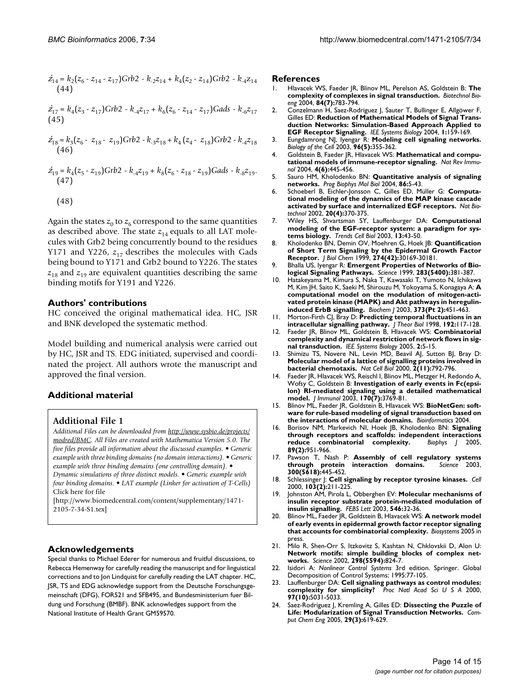$$
\begin{array}{l} \dot{z}_{14} = k_2(z_6 - z_{14} - z_{17})Grb2 - k_{\cdot 2}z_{14} + k_4(z_2 - z_{14})Grb2 - k_{\cdot 4}z_{14} \\ (44) \end{array}
$$

$$
\dot{z}_{17} = k_4(z_3 - z_{17}) Grb2 - k_{.4}z_{17} + k_6(z_6 - z_{14} - z_{17})Gads - k_{.6}z_{17}
$$
\n(45)

$$
\dot{z}_{18} = k_3(z_6 - z_{18} - z_{19})\text{Grb2} - k_{.3}z_{18} + k_4(z_4 - z_{18})\text{Grb2} - k_{.4}z_{18}
$$
\n(46)

$$
\dot{z}_{19} = k_4(z_5 - z_{19}) Grb2 - k_{.4}z_{19} + k_8(z_6 - z_{18} - z_{19})Gads - k_{.8}z_{19}.
$$
  
(47)

$$
(48)
$$

Again the states  $z_0$  to  $z_6$  correspond to the same quantities as described above. The state  $z_{14}$  equals to all LAT molecules with Grb2 being concurrently bound to the residues Y171 and Y226,  $z_{17}$  describes the molecules with Gads being bound to Y171 and Grb2 bound to Y226. The states  $z_{18}$  and  $z_{19}$  are equivalent quantities describing the same binding motifs for Y191 and Y226.

### **Authors' contributions**

HC conceived the original mathematical idea. HC, JSR and BNK developed the systematic method.

Model building and numerical analysis were carried out by HC, JSR and TS. EDG initiated, supervised and coordinated the project. All authors wrote the manuscript and approved the final version.

### **Additional material**

### **Additional File 1**

*Additional Files can be downloaded from [http://www.sysbio.de/projects/](http://www.sysbio.de/projects/modred/BMC) [modred/BMC.](http://www.sysbio.de/projects/modred/BMC) All Files are created with Mathematica Version 5.0. The five files provide all information about the discussed examples. • Generic example with three binding domains (no domain interactions). • Generic example with three binding domains (one controlling domain). • Dynamic simulations of three distinct models. • Generic example with four binding domains. • LAT example (Linker for activation of T-Cells)* Click here for file

[\[http://www.biomedcentral.com/content/supplementary/1471-](http://www.biomedcentral.com/content/supplementary/1471-2105-7-34-S1.tex) 2105-7-34-S1.tex]

### **Acknowledgements**

Special thanks to Michael Ederer for numerous and fruitful discussions, to Rebecca Hemenway for carefully reading the manuscript and for linguistical corrections and to Jon Lindquist for carefully reading the LAT chapter. HC, JSR, TS and EDG acknowledge support from the Deutsche Forschungsgemeinschaft (DFG), FOR521 and SFB495, and Bundesministerium fuer Bildung und Forschung (BMBF). BNK acknowledges support from the National Institute of Health Grant GM59570.

#### **References**

- 1. Hlavacek WS, Faeder JR, Blinov ML, Perelson AS, Goldstein B: **The complexity of complexes in signal transduction.** *Biotechnol Bioeng* 2004, **84(7):**783-794.
- 2. Conzelmann H, Saez-Rodriguez J, Sauter T, Bullinger E, Allgöwer F, Gilles ED: **Reduction of Mathematical Models of Signal Transduction Networks: Simulation-Based Approach Applied to EGF Receptor Signaling.** *IEE Systems Biology* 2004, **1:**159-169.
- 3. Eungdamrong NJ, Iyengar R: **Modeling cell signaling networks.** *Biology of the Cell* 2003, **96(5):**355-362.
- 4. Goldstein B, Faeder JR, Hlavacek WS: **[Mathematical and compu](http://www.ncbi.nlm.nih.gov/entrez/query.fcgi?cmd=Retrieve&db=PubMed&dopt=Abstract&list_uids=15173833)[tational models of immune-receptor signaling.](http://www.ncbi.nlm.nih.gov/entrez/query.fcgi?cmd=Retrieve&db=PubMed&dopt=Abstract&list_uids=15173833)** *Nat Rev Immunol* 2004, **4(6):**445-456.
- 5. Sauro HM, Kholodenko BN: **[Quantitative analysis of signaling](http://www.ncbi.nlm.nih.gov/entrez/query.fcgi?cmd=Retrieve&db=PubMed&dopt=Abstract&list_uids=15261524) [networks.](http://www.ncbi.nlm.nih.gov/entrez/query.fcgi?cmd=Retrieve&db=PubMed&dopt=Abstract&list_uids=15261524)** *Prog Biophys Mol Biol* 2004, **86:**5-43.
- Schoeberl B, Eichler-Jonsson C, Gilles ED, Müller G: [Computa](http://www.ncbi.nlm.nih.gov/entrez/query.fcgi?cmd=Retrieve&db=PubMed&dopt=Abstract&list_uids=11923843)**[tional modeling of the dynamics of the MAP kinase cascade](http://www.ncbi.nlm.nih.gov/entrez/query.fcgi?cmd=Retrieve&db=PubMed&dopt=Abstract&list_uids=11923843) [activated by surface and internalized EGF receptors.](http://www.ncbi.nlm.nih.gov/entrez/query.fcgi?cmd=Retrieve&db=PubMed&dopt=Abstract&list_uids=11923843)** *Nat Biotechnol* 2002, **20(4):**370-375.
- 7. Wiley HS, Shvartsman SY, Lauffenburger DA: **[Computational](http://www.ncbi.nlm.nih.gov/entrez/query.fcgi?cmd=Retrieve&db=PubMed&dopt=Abstract&list_uids=12480339) [modeling of the EGF-receptor system: a paradigm for sys](http://www.ncbi.nlm.nih.gov/entrez/query.fcgi?cmd=Retrieve&db=PubMed&dopt=Abstract&list_uids=12480339)[tems biology.](http://www.ncbi.nlm.nih.gov/entrez/query.fcgi?cmd=Retrieve&db=PubMed&dopt=Abstract&list_uids=12480339)** *Trends Cell Biol* 2003, **13:**43-50.
- 8. Kholodenko BN, Demin OV, Moehren G, Hoek JB: **[Quantification](http://www.ncbi.nlm.nih.gov/entrez/query.fcgi?cmd=Retrieve&db=PubMed&dopt=Abstract&list_uids=10514507) [of Short Term Signaling by the Epidermal Growth Factor](http://www.ncbi.nlm.nih.gov/entrez/query.fcgi?cmd=Retrieve&db=PubMed&dopt=Abstract&list_uids=10514507) [Receptor.](http://www.ncbi.nlm.nih.gov/entrez/query.fcgi?cmd=Retrieve&db=PubMed&dopt=Abstract&list_uids=10514507)** *J Biol Chem* 1999, **274(42):**30169-30181.
- 9. Bhalla US, Iyengar R: **[Emergent Properties of Networks of Bio](http://www.ncbi.nlm.nih.gov/entrez/query.fcgi?cmd=Retrieve&db=PubMed&dopt=Abstract&list_uids=9888852)[logical Signaling Pathways.](http://www.ncbi.nlm.nih.gov/entrez/query.fcgi?cmd=Retrieve&db=PubMed&dopt=Abstract&list_uids=9888852)** *Science* 1999, **283(5400):**381-387.
- 10. Hatakeyama M, Kimura S, Naka T, Kawasaki T, Yumoto N, Ichikawa M, Kim JH, Saito K, Saeki M, Shirouzu M, Yokoyama S, Konagaya A: **[A](http://www.ncbi.nlm.nih.gov/entrez/query.fcgi?cmd=Retrieve&db=PubMed&dopt=Abstract&list_uids=12691603) [computational model on the modulation of mitogen-acti](http://www.ncbi.nlm.nih.gov/entrez/query.fcgi?cmd=Retrieve&db=PubMed&dopt=Abstract&list_uids=12691603)vated protein kinase (MAPK) and Akt pathways in heregulin[induced ErbB signalling.](http://www.ncbi.nlm.nih.gov/entrez/query.fcgi?cmd=Retrieve&db=PubMed&dopt=Abstract&list_uids=12691603)** *Biochem J* 2003, **373(Pt 2):**451-463.
- 11. Morton-Firth CJ, Bray D: **[Predicting temporal fluctuations in an](http://www.ncbi.nlm.nih.gov/entrez/query.fcgi?cmd=Retrieve&db=PubMed&dopt=Abstract&list_uids=9628844) [intracellular signalling pathway.](http://www.ncbi.nlm.nih.gov/entrez/query.fcgi?cmd=Retrieve&db=PubMed&dopt=Abstract&list_uids=9628844)** *J Theor Biol* 1998, **192:**117-128.
- 12. Faeder JR, Blinov ML, Goldstein B, Hlavacek WS: **Combinatorial complexity and dynamical restriction of network flows in signal transduction.** *IEE Systems Biology* 2005, **2:**5-15.
- 13. Shimizu TS, Novere NL, Levin MD, Beavil AJ, Sutton BJ, Bray D: **[Molecular model of a lattice of signalling proteins involved in](http://www.ncbi.nlm.nih.gov/entrez/query.fcgi?cmd=Retrieve&db=PubMed&dopt=Abstract&list_uids=11056533) [bacterial chemotaxis.](http://www.ncbi.nlm.nih.gov/entrez/query.fcgi?cmd=Retrieve&db=PubMed&dopt=Abstract&list_uids=11056533)** *Nat Cell Biol* 2000, **2(11):**792-796.
- 14. Faeder JR, Hlavacek WS, Reischl I, Blinov ML, Metzger H, Redondo A, Wofsy C, Goldstein B: **[Investigation of early events in Fc\(epsi](http://www.ncbi.nlm.nih.gov/entrez/query.fcgi?cmd=Retrieve&db=PubMed&dopt=Abstract&list_uids=12646643)[lon\) RI-mediated signaling using a detailed mathematical](http://www.ncbi.nlm.nih.gov/entrez/query.fcgi?cmd=Retrieve&db=PubMed&dopt=Abstract&list_uids=12646643) [model.](http://www.ncbi.nlm.nih.gov/entrez/query.fcgi?cmd=Retrieve&db=PubMed&dopt=Abstract&list_uids=12646643)** *J Immunol* 2003, **170(7):**3769-81.
- 15. Blinov ML, Faeder JR, Goldstein B, Hlavacek WS: **[BioNetGen: soft](http://www.ncbi.nlm.nih.gov/entrez/query.fcgi?cmd=Retrieve&db=PubMed&dopt=Abstract&list_uids=15217809)[ware for rule-based modeling of signal transduction based on](http://www.ncbi.nlm.nih.gov/entrez/query.fcgi?cmd=Retrieve&db=PubMed&dopt=Abstract&list_uids=15217809) [the interactions of molecular domains.](http://www.ncbi.nlm.nih.gov/entrez/query.fcgi?cmd=Retrieve&db=PubMed&dopt=Abstract&list_uids=15217809)** *Bioinformatics* 2004.
- 16. Borisov NM, Markevich NI, Hoek JB, Kholodenko BN: **[Signaling](http://www.ncbi.nlm.nih.gov/entrez/query.fcgi?cmd=Retrieve&db=PubMed&dopt=Abstract&list_uids=15923229) [through receptors and scaffolds: independent interactions](http://www.ncbi.nlm.nih.gov/entrez/query.fcgi?cmd=Retrieve&db=PubMed&dopt=Abstract&list_uids=15923229) [reduce combinatorial complexity.](http://www.ncbi.nlm.nih.gov/entrez/query.fcgi?cmd=Retrieve&db=PubMed&dopt=Abstract&list_uids=15923229)** *Biophys J* 2005, **89(2):**951-966.
- 17. Pawson T, Nash P: **[Assembly of cell regulatory systems](http://www.ncbi.nlm.nih.gov/entrez/query.fcgi?cmd=Retrieve&db=PubMed&dopt=Abstract&list_uids=12702867) [through protein interaction domains.](http://www.ncbi.nlm.nih.gov/entrez/query.fcgi?cmd=Retrieve&db=PubMed&dopt=Abstract&list_uids=12702867)** *Science* 2003, **300(5618):**445-452.
- 18. Schlessinger J: **[Cell signaling by receptor tyrosine kinases.](http://www.ncbi.nlm.nih.gov/entrez/query.fcgi?cmd=Retrieve&db=PubMed&dopt=Abstract&list_uids=11057895)** *Cell* 2000, **103(2):**211-225.
- 19. Johnston AM, Pirola L, Obberghen EV: **[Molecular mechanisms of](http://www.ncbi.nlm.nih.gov/entrez/query.fcgi?cmd=Retrieve&db=PubMed&dopt=Abstract&list_uids=12829233) [insulin receptor substrate protein-mediated modulation of](http://www.ncbi.nlm.nih.gov/entrez/query.fcgi?cmd=Retrieve&db=PubMed&dopt=Abstract&list_uids=12829233) [insulin signalling.](http://www.ncbi.nlm.nih.gov/entrez/query.fcgi?cmd=Retrieve&db=PubMed&dopt=Abstract&list_uids=12829233)** *FEBS Lett* 2003, **546:**32-36.
- 20. Blinov ML, Faeder JR, Goldstein B, Hlavacek WS: **[A network model](http://www.ncbi.nlm.nih.gov/entrez/query.fcgi?cmd=Retrieve&db=PubMed&dopt=Abstract&list_uids=16233948) [of early events in epidermal growth factor receptor signaling](http://www.ncbi.nlm.nih.gov/entrez/query.fcgi?cmd=Retrieve&db=PubMed&dopt=Abstract&list_uids=16233948) [that accounts for combinatorial complexity.](http://www.ncbi.nlm.nih.gov/entrez/query.fcgi?cmd=Retrieve&db=PubMed&dopt=Abstract&list_uids=16233948)** *Biosystems* 2005 in press.
- 21. Milo R, Shen-Orr S, Itzkovitz S, Kashtan N, Chklovskii D, Alon U: **[Network motifs: simple building blocks of complex net](http://www.ncbi.nlm.nih.gov/entrez/query.fcgi?cmd=Retrieve&db=PubMed&dopt=Abstract&list_uids=12399590)[works.](http://www.ncbi.nlm.nih.gov/entrez/query.fcgi?cmd=Retrieve&db=PubMed&dopt=Abstract&list_uids=12399590)** *Science* 2002, **298(5594):**824-7.
- 22. Isidori A: *Nonlinear Control Systems* 3rd edition. Springer. Global Decomposition of Control Systems; 1995:77-105.
- 23. Lauffenburger DA: **[Cell signaling pathways as control modules:](http://www.ncbi.nlm.nih.gov/entrez/query.fcgi?cmd=Retrieve&db=PubMed&dopt=Abstract&list_uids=10805765) [complexity for simplicity?](http://www.ncbi.nlm.nih.gov/entrez/query.fcgi?cmd=Retrieve&db=PubMed&dopt=Abstract&list_uids=10805765)** *Proc Natl Acad Sci U S A* 2000, **97(10):**5031-5033.
- 24. Saez-Rodriguez J, Kremling A, Gilles ED: **Dissecting the Puzzle of Life: Modularization of Signal Transduction Networks.** *Comput Chem Eng* 2005, **29(3):**619-629.